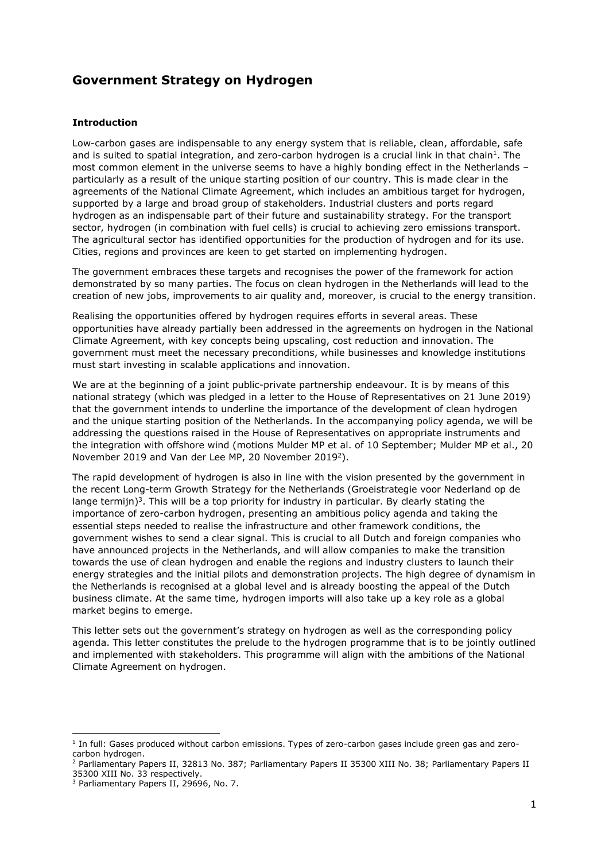# Government Strategy on Hydrogen

## Introduction

Low-carbon gases are indispensable to any energy system that is reliable, clean, affordable, safe and is suited to spatial integration, and zero-carbon hydrogen is a crucial link in that chain<sup>1</sup>. The most common element in the universe seems to have a highly bonding effect in the Netherlands – particularly as a result of the unique starting position of our country. This is made clear in the agreements of the National Climate Agreement, which includes an ambitious target for hydrogen, supported by a large and broad group of stakeholders. Industrial clusters and ports regard hydrogen as an indispensable part of their future and sustainability strategy. For the transport sector, hydrogen (in combination with fuel cells) is crucial to achieving zero emissions transport. The agricultural sector has identified opportunities for the production of hydrogen and for its use. Cities, regions and provinces are keen to get started on implementing hydrogen.

The government embraces these targets and recognises the power of the framework for action demonstrated by so many parties. The focus on clean hydrogen in the Netherlands will lead to the creation of new jobs, improvements to air quality and, moreover, is crucial to the energy transition.

Realising the opportunities offered by hydrogen requires efforts in several areas. These opportunities have already partially been addressed in the agreements on hydrogen in the National Climate Agreement, with key concepts being upscaling, cost reduction and innovation. The government must meet the necessary preconditions, while businesses and knowledge institutions must start investing in scalable applications and innovation.

We are at the beginning of a joint public-private partnership endeavour. It is by means of this national strategy (which was pledged in a letter to the House of Representatives on 21 June 2019) that the government intends to underline the importance of the development of clean hydrogen and the unique starting position of the Netherlands. In the accompanying policy agenda, we will be addressing the questions raised in the House of Representatives on appropriate instruments and the integration with offshore wind (motions Mulder MP et al. of 10 September; Mulder MP et al., 20 November 2019 and Van der Lee MP, 20 November 2019<sup>2</sup>).

The rapid development of hydrogen is also in line with the vision presented by the government in the recent Long-term Growth Strategy for the Netherlands (Groeistrategie voor Nederland op de lange termijn)<sup>3</sup>. This will be a top priority for industry in particular. By clearly stating the importance of zero-carbon hydrogen, presenting an ambitious policy agenda and taking the essential steps needed to realise the infrastructure and other framework conditions, the government wishes to send a clear signal. This is crucial to all Dutch and foreign companies who have announced projects in the Netherlands, and will allow companies to make the transition towards the use of clean hydrogen and enable the regions and industry clusters to launch their energy strategies and the initial pilots and demonstration projects. The high degree of dynamism in the Netherlands is recognised at a global level and is already boosting the appeal of the Dutch business climate. At the same time, hydrogen imports will also take up a key role as a global market begins to emerge.

This letter sets out the government's strategy on hydrogen as well as the corresponding policy agenda. This letter constitutes the prelude to the hydrogen programme that is to be jointly outlined and implemented with stakeholders. This programme will align with the ambitions of the National Climate Agreement on hydrogen.

<sup>&</sup>lt;sup>1</sup> In full: Gases produced without carbon emissions. Types of zero-carbon gases include green gas and zerocarbon hydrogen.

<sup>2</sup> Parliamentary Papers II, 32813 No. 387; Parliamentary Papers II 35300 XIII No. 38; Parliamentary Papers II 35300 XIII No. 33 respectively.

<sup>3</sup> Parliamentary Papers II, 29696, No. 7.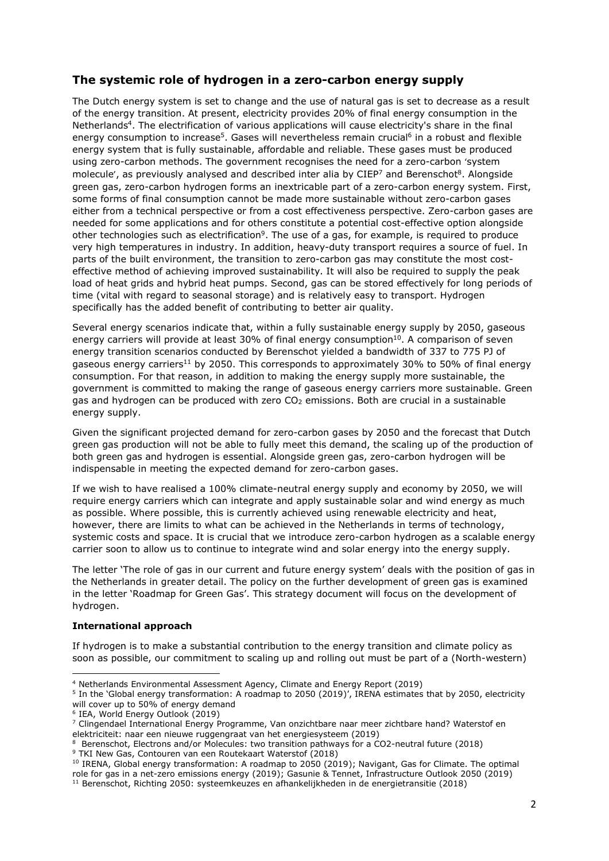# The systemic role of hydrogen in a zero-carbon energy supply

The Dutch energy system is set to change and the use of natural gas is set to decrease as a result of the energy transition. At present, electricity provides 20% of final energy consumption in the Netherlands<sup>4</sup>. The electrification of various applications will cause electricity's share in the final energy consumption to increase<sup>5</sup>. Gases will nevertheless remain crucial<sup>6</sup> in a robust and flexible energy system that is fully sustainable, affordable and reliable. These gases must be produced using zero-carbon methods. The government recognises the need for a zero-carbon 'system molecule', as previously analysed and described inter alia by CIEP<sup>7</sup> and Berenschot<sup>8</sup>. Alongside green gas, zero-carbon hydrogen forms an inextricable part of a zero-carbon energy system. First, some forms of final consumption cannot be made more sustainable without zero-carbon gases either from a technical perspective or from a cost effectiveness perspective. Zero-carbon gases are needed for some applications and for others constitute a potential cost-effective option alongside other technologies such as electrification<sup>9</sup>. The use of a gas, for example, is required to produce very high temperatures in industry. In addition, heavy-duty transport requires a source of fuel. In parts of the built environment, the transition to zero-carbon gas may constitute the most costeffective method of achieving improved sustainability. It will also be required to supply the peak load of heat grids and hybrid heat pumps. Second, gas can be stored effectively for long periods of time (vital with regard to seasonal storage) and is relatively easy to transport. Hydrogen specifically has the added benefit of contributing to better air quality.

Several energy scenarios indicate that, within a fully sustainable energy supply by 2050, gaseous energy carriers will provide at least 30% of final energy consumption<sup>10</sup>. A comparison of seven energy transition scenarios conducted by Berenschot yielded a bandwidth of 337 to 775 PJ of gaseous energy carriers<sup>11</sup> by 2050. This corresponds to approximately 30% to 50% of final energy consumption. For that reason, in addition to making the energy supply more sustainable, the government is committed to making the range of gaseous energy carriers more sustainable. Green gas and hydrogen can be produced with zero  $CO<sub>2</sub>$  emissions. Both are crucial in a sustainable energy supply.

Given the significant projected demand for zero-carbon gases by 2050 and the forecast that Dutch green gas production will not be able to fully meet this demand, the scaling up of the production of both green gas and hydrogen is essential. Alongside green gas, zero-carbon hydrogen will be indispensable in meeting the expected demand for zero-carbon gases.

If we wish to have realised a 100% climate-neutral energy supply and economy by 2050, we will require energy carriers which can integrate and apply sustainable solar and wind energy as much as possible. Where possible, this is currently achieved using renewable electricity and heat, however, there are limits to what can be achieved in the Netherlands in terms of technology, systemic costs and space. It is crucial that we introduce zero-carbon hydrogen as a scalable energy carrier soon to allow us to continue to integrate wind and solar energy into the energy supply.

The letter 'The role of gas in our current and future energy system' deals with the position of gas in the Netherlands in greater detail. The policy on the further development of green gas is examined in the letter 'Roadmap for Green Gas'. This strategy document will focus on the development of hydrogen.

## International approach

If hydrogen is to make a substantial contribution to the energy transition and climate policy as soon as possible, our commitment to scaling up and rolling out must be part of a (North-western)

<sup>4</sup> Netherlands Environmental Assessment Agency, Climate and Energy Report (2019)

<sup>&</sup>lt;sup>5</sup> In the 'Global energy transformation: A roadmap to 2050 (2019)', IRENA estimates that by 2050, electricity will cover up to 50% of energy demand

<sup>6</sup> IEA, World Energy Outlook (2019)

<sup>7</sup> Clingendael International Energy Programme, Van onzichtbare naar meer zichtbare hand? Waterstof en elektriciteit: naar een nieuwe ruggengraat van het energiesysteem (2019)

<sup>&</sup>lt;sup>8</sup> Berenschot, Electrons and/or Molecules: two transition pathways for a CO2-neutral future (2018) 9 TKI New Gas, Contouren van een Routekaart Waterstof (2018)

 $10$  IRENA, Global energy transformation: A roadmap to 2050 (2019); Navigant, Gas for Climate. The optimal role for gas in a net-zero emissions energy (2019); Gasunie & Tennet, Infrastructure Outlook 2050 (2019) 11 Berenschot, Richting 2050: systeemkeuzes en afhankelijkheden in de energietransitie (2018)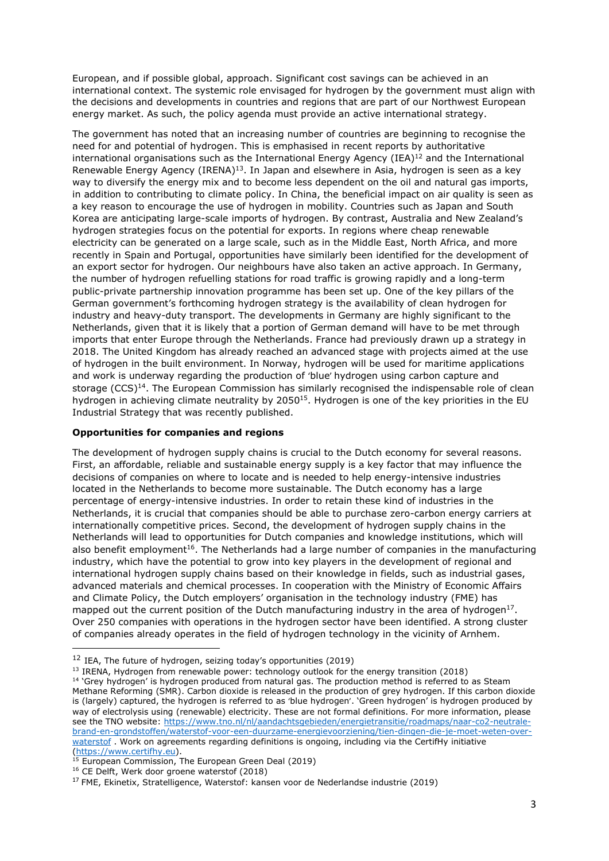European, and if possible global, approach. Significant cost savings can be achieved in an international context. The systemic role envisaged for hydrogen by the government must align with the decisions and developments in countries and regions that are part of our Northwest European energy market. As such, the policy agenda must provide an active international strategy.

The government has noted that an increasing number of countries are beginning to recognise the need for and potential of hydrogen. This is emphasised in recent reports by authoritative international organisations such as the International Energy Agency (IEA) $^{12}$  and the International Renewable Energy Agency  $(IRENA)^{13}$ . In Japan and elsewhere in Asia, hydrogen is seen as a key way to diversify the energy mix and to become less dependent on the oil and natural gas imports, in addition to contributing to climate policy. In China, the beneficial impact on air quality is seen as a key reason to encourage the use of hydrogen in mobility. Countries such as Japan and South Korea are anticipating large-scale imports of hydrogen. By contrast, Australia and New Zealand's hydrogen strategies focus on the potential for exports. In regions where cheap renewable electricity can be generated on a large scale, such as in the Middle East, North Africa, and more recently in Spain and Portugal, opportunities have similarly been identified for the development of an export sector for hydrogen. Our neighbours have also taken an active approach. In Germany, the number of hydrogen refuelling stations for road traffic is growing rapidly and a long-term public-private partnership innovation programme has been set up. One of the key pillars of the German government's forthcoming hydrogen strategy is the availability of clean hydrogen for industry and heavy-duty transport. The developments in Germany are highly significant to the Netherlands, given that it is likely that a portion of German demand will have to be met through imports that enter Europe through the Netherlands. France had previously drawn up a strategy in 2018. The United Kingdom has already reached an advanced stage with projects aimed at the use of hydrogen in the built environment. In Norway, hydrogen will be used for maritime applications and work is underway regarding the production of 'blue' hydrogen using carbon capture and storage (CCS)<sup>14</sup>. The European Commission has similarly recognised the indispensable role of clean hydrogen in achieving climate neutrality by 2050<sup>15</sup>. Hydrogen is one of the key priorities in the EU Industrial Strategy that was recently published.

#### Opportunities for companies and regions

The development of hydrogen supply chains is crucial to the Dutch economy for several reasons. First, an affordable, reliable and sustainable energy supply is a key factor that may influence the decisions of companies on where to locate and is needed to help energy-intensive industries located in the Netherlands to become more sustainable. The Dutch economy has a large percentage of energy-intensive industries. In order to retain these kind of industries in the Netherlands, it is crucial that companies should be able to purchase zero-carbon energy carriers at internationally competitive prices. Second, the development of hydrogen supply chains in the Netherlands will lead to opportunities for Dutch companies and knowledge institutions, which will also benefit employment<sup>16</sup>. The Netherlands had a large number of companies in the manufacturing industry, which have the potential to grow into key players in the development of regional and international hydrogen supply chains based on their knowledge in fields, such as industrial gases, advanced materials and chemical processes. In cooperation with the Ministry of Economic Affairs and Climate Policy, the Dutch employers' organisation in the technology industry (FME) has mapped out the current position of the Dutch manufacturing industry in the area of hydrogen<sup>17</sup>. Over 250 companies with operations in the hydrogen sector have been identified. A strong cluster of companies already operates in the field of hydrogen technology in the vicinity of Arnhem.

 $13$  IRENA, Hydrogen from renewable power: technology outlook for the energy transition (2018)

 $12$  IEA. The future of hydrogen, seizing today's opportunities (2019)

<sup>&</sup>lt;sup>14</sup> 'Grey hydrogen' is hydrogen produced from natural gas. The production method is referred to as Steam Methane Reforming (SMR). Carbon dioxide is released in the production of grey hydrogen. If this carbon dioxide is (largely) captured, the hydrogen is referred to as 'blue hydrogen'. 'Green hydrogen' is hydrogen produced by way of electrolysis using (renewable) electricity. These are not formal definitions. For more information, please see the TNO website: https://www.tno.nl/nl/aandachtsgebieden/energietransitie/roadmaps/naar-co2-neutralebrand-en-grondstoffen/waterstof-voor-een-duurzame-energievoorziening/tien-dingen-die-je-moet-weten-overwaterstof . Work on agreements regarding definitions is ongoing, including via the CertifHy initiative (https://www.certifhy.eu).

 $\frac{15}{15}$  European Commission, The European Green Deal (2019)

<sup>16</sup> CE Delft, Werk door groene waterstof (2018)

<sup>&</sup>lt;sup>17</sup> FME, Ekinetix, Stratelligence, Waterstof: kansen voor de Nederlandse industrie (2019)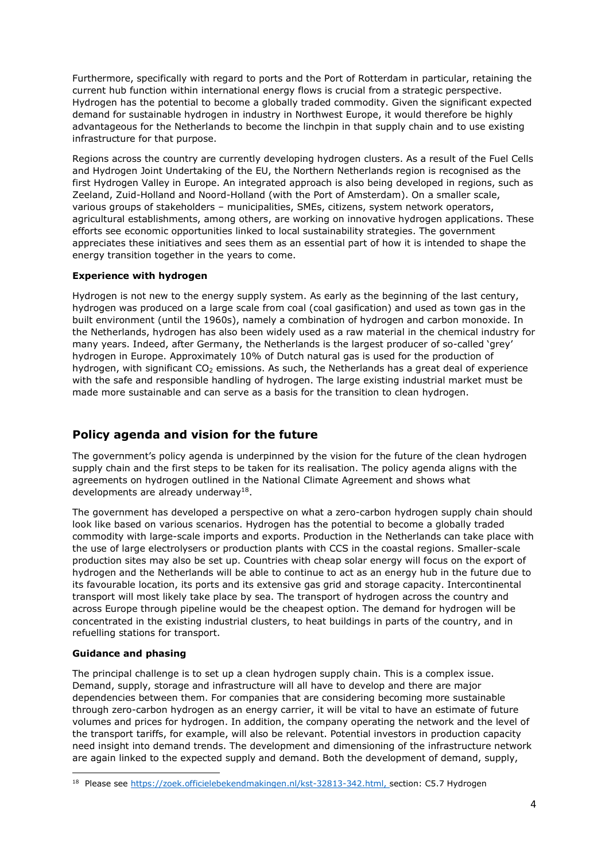Furthermore, specifically with regard to ports and the Port of Rotterdam in particular, retaining the current hub function within international energy flows is crucial from a strategic perspective. Hydrogen has the potential to become a globally traded commodity. Given the significant expected demand for sustainable hydrogen in industry in Northwest Europe, it would therefore be highly advantageous for the Netherlands to become the linchpin in that supply chain and to use existing infrastructure for that purpose.

Regions across the country are currently developing hydrogen clusters. As a result of the Fuel Cells and Hydrogen Joint Undertaking of the EU, the Northern Netherlands region is recognised as the first Hydrogen Valley in Europe. An integrated approach is also being developed in regions, such as Zeeland, Zuid-Holland and Noord-Holland (with the Port of Amsterdam). On a smaller scale, various groups of stakeholders – municipalities, SMEs, citizens, system network operators, agricultural establishments, among others, are working on innovative hydrogen applications. These efforts see economic opportunities linked to local sustainability strategies. The government appreciates these initiatives and sees them as an essential part of how it is intended to shape the energy transition together in the years to come.

## Experience with hydrogen

Hydrogen is not new to the energy supply system. As early as the beginning of the last century, hydrogen was produced on a large scale from coal (coal gasification) and used as town gas in the built environment (until the 1960s), namely a combination of hydrogen and carbon monoxide. In the Netherlands, hydrogen has also been widely used as a raw material in the chemical industry for many years. Indeed, after Germany, the Netherlands is the largest producer of so-called 'grey' hydrogen in Europe. Approximately 10% of Dutch natural gas is used for the production of hydrogen, with significant  $CO<sub>2</sub>$  emissions. As such, the Netherlands has a great deal of experience with the safe and responsible handling of hydrogen. The large existing industrial market must be made more sustainable and can serve as a basis for the transition to clean hydrogen.

## Policy agenda and vision for the future

The government's policy agenda is underpinned by the vision for the future of the clean hydrogen supply chain and the first steps to be taken for its realisation. The policy agenda aligns with the agreements on hydrogen outlined in the National Climate Agreement and shows what developments are already underway<sup>18</sup>.

The government has developed a perspective on what a zero-carbon hydrogen supply chain should look like based on various scenarios. Hydrogen has the potential to become a globally traded commodity with large-scale imports and exports. Production in the Netherlands can take place with the use of large electrolysers or production plants with CCS in the coastal regions. Smaller-scale production sites may also be set up. Countries with cheap solar energy will focus on the export of hydrogen and the Netherlands will be able to continue to act as an energy hub in the future due to its favourable location, its ports and its extensive gas grid and storage capacity. Intercontinental transport will most likely take place by sea. The transport of hydrogen across the country and across Europe through pipeline would be the cheapest option. The demand for hydrogen will be concentrated in the existing industrial clusters, to heat buildings in parts of the country, and in refuelling stations for transport.

## Guidance and phasing

The principal challenge is to set up a clean hydrogen supply chain. This is a complex issue. Demand, supply, storage and infrastructure will all have to develop and there are major dependencies between them. For companies that are considering becoming more sustainable through zero-carbon hydrogen as an energy carrier, it will be vital to have an estimate of future volumes and prices for hydrogen. In addition, the company operating the network and the level of the transport tariffs, for example, will also be relevant. Potential investors in production capacity need insight into demand trends. The development and dimensioning of the infrastructure network are again linked to the expected supply and demand. Both the development of demand, supply,

<sup>&</sup>lt;sup>18</sup> Please see https://zoek.officielebekendmakingen.nl/kst-32813-342.html, section: C5.7 Hydrogen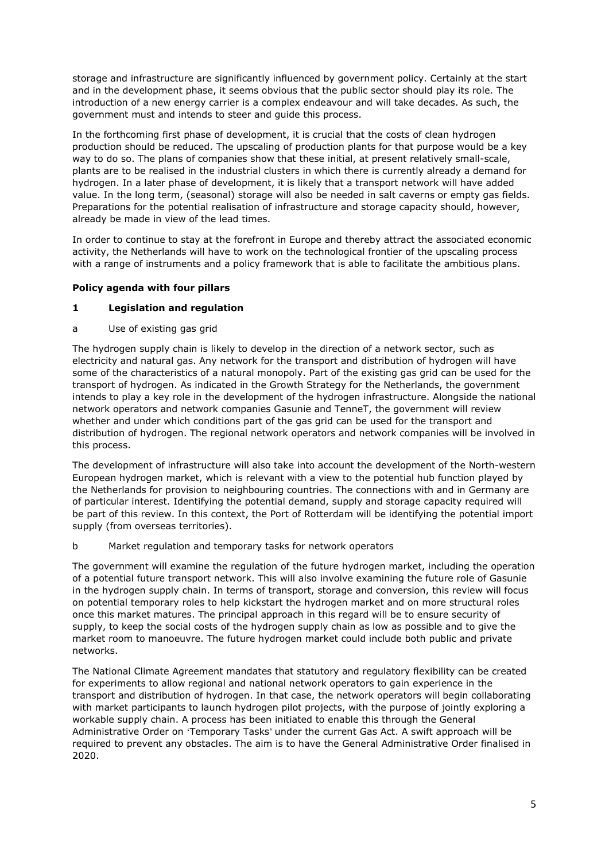storage and infrastructure are significantly influenced by government policy. Certainly at the start and in the development phase, it seems obvious that the public sector should play its role. The introduction of a new energy carrier is a complex endeavour and will take decades. As such, the government must and intends to steer and guide this process.

In the forthcoming first phase of development, it is crucial that the costs of clean hydrogen production should be reduced. The upscaling of production plants for that purpose would be a key way to do so. The plans of companies show that these initial, at present relatively small-scale, plants are to be realised in the industrial clusters in which there is currently already a demand for hydrogen. In a later phase of development, it is likely that a transport network will have added value. In the long term, (seasonal) storage will also be needed in salt caverns or empty gas fields. Preparations for the potential realisation of infrastructure and storage capacity should, however, already be made in view of the lead times.

In order to continue to stay at the forefront in Europe and thereby attract the associated economic activity, the Netherlands will have to work on the technological frontier of the upscaling process with a range of instruments and a policy framework that is able to facilitate the ambitious plans.

## Policy agenda with four pillars

## 1 Legislation and regulation

a Use of existing gas grid

The hydrogen supply chain is likely to develop in the direction of a network sector, such as electricity and natural gas. Any network for the transport and distribution of hydrogen will have some of the characteristics of a natural monopoly. Part of the existing gas grid can be used for the transport of hydrogen. As indicated in the Growth Strategy for the Netherlands, the government intends to play a key role in the development of the hydrogen infrastructure. Alongside the national network operators and network companies Gasunie and TenneT, the government will review whether and under which conditions part of the gas grid can be used for the transport and distribution of hydrogen. The regional network operators and network companies will be involved in this process.

The development of infrastructure will also take into account the development of the North-western European hydrogen market, which is relevant with a view to the potential hub function played by the Netherlands for provision to neighbouring countries. The connections with and in Germany are of particular interest. Identifying the potential demand, supply and storage capacity required will be part of this review. In this context, the Port of Rotterdam will be identifying the potential import supply (from overseas territories).

b Market regulation and temporary tasks for network operators

The government will examine the regulation of the future hydrogen market, including the operation of a potential future transport network. This will also involve examining the future role of Gasunie in the hydrogen supply chain. In terms of transport, storage and conversion, this review will focus on potential temporary roles to help kickstart the hydrogen market and on more structural roles once this market matures. The principal approach in this regard will be to ensure security of supply, to keep the social costs of the hydrogen supply chain as low as possible and to give the market room to manoeuvre. The future hydrogen market could include both public and private networks.

The National Climate Agreement mandates that statutory and regulatory flexibility can be created for experiments to allow regional and national network operators to gain experience in the transport and distribution of hydrogen. In that case, the network operators will begin collaborating with market participants to launch hydrogen pilot projects, with the purpose of jointly exploring a workable supply chain. A process has been initiated to enable this through the General Administrative Order on 'Temporary Tasks' under the current Gas Act. A swift approach will be required to prevent any obstacles. The aim is to have the General Administrative Order finalised in 2020.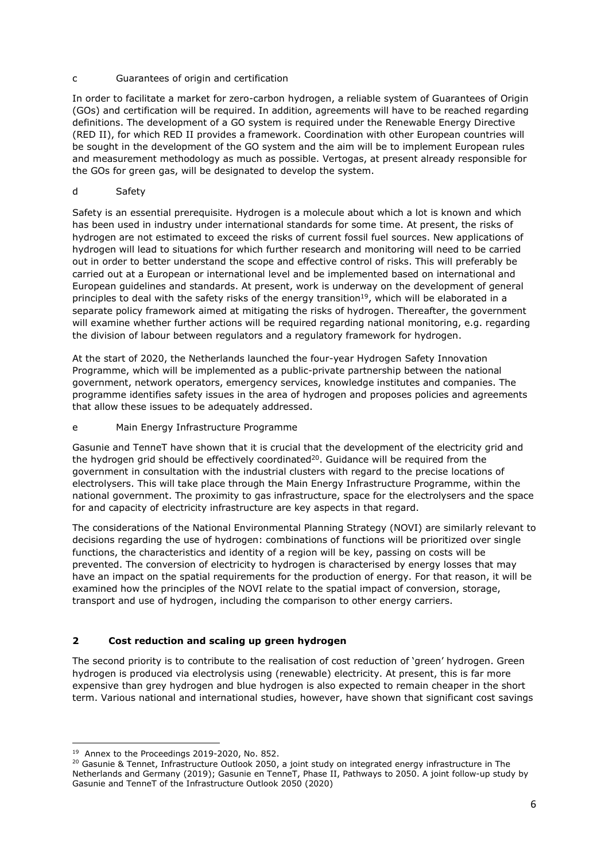## c Guarantees of origin and certification

In order to facilitate a market for zero-carbon hydrogen, a reliable system of Guarantees of Origin (GOs) and certification will be required. In addition, agreements will have to be reached regarding definitions. The development of a GO system is required under the Renewable Energy Directive (RED II), for which RED II provides a framework. Coordination with other European countries will be sought in the development of the GO system and the aim will be to implement European rules and measurement methodology as much as possible. Vertogas, at present already responsible for the GOs for green gas, will be designated to develop the system.

## d Safety

Safety is an essential prerequisite. Hydrogen is a molecule about which a lot is known and which has been used in industry under international standards for some time. At present, the risks of hydrogen are not estimated to exceed the risks of current fossil fuel sources. New applications of hydrogen will lead to situations for which further research and monitoring will need to be carried out in order to better understand the scope and effective control of risks. This will preferably be carried out at a European or international level and be implemented based on international and European guidelines and standards. At present, work is underway on the development of general principles to deal with the safety risks of the energy transition<sup>19</sup>, which will be elaborated in a separate policy framework aimed at mitigating the risks of hydrogen. Thereafter, the government will examine whether further actions will be required regarding national monitoring, e.g. regarding the division of labour between regulators and a regulatory framework for hydrogen.

At the start of 2020, the Netherlands launched the four-year Hydrogen Safety Innovation Programme, which will be implemented as a public-private partnership between the national government, network operators, emergency services, knowledge institutes and companies. The programme identifies safety issues in the area of hydrogen and proposes policies and agreements that allow these issues to be adequately addressed.

## e Main Energy Infrastructure Programme

Gasunie and TenneT have shown that it is crucial that the development of the electricity grid and the hydrogen grid should be effectively coordinated $^{20}$ . Guidance will be required from the government in consultation with the industrial clusters with regard to the precise locations of electrolysers. This will take place through the Main Energy Infrastructure Programme, within the national government. The proximity to gas infrastructure, space for the electrolysers and the space for and capacity of electricity infrastructure are key aspects in that regard.

The considerations of the National Environmental Planning Strategy (NOVI) are similarly relevant to decisions regarding the use of hydrogen: combinations of functions will be prioritized over single functions, the characteristics and identity of a region will be key, passing on costs will be prevented. The conversion of electricity to hydrogen is characterised by energy losses that may have an impact on the spatial requirements for the production of energy. For that reason, it will be examined how the principles of the NOVI relate to the spatial impact of conversion, storage, transport and use of hydrogen, including the comparison to other energy carriers.

## 2 Cost reduction and scaling up green hydrogen

The second priority is to contribute to the realisation of cost reduction of 'green' hydrogen. Green hydrogen is produced via electrolysis using (renewable) electricity. At present, this is far more expensive than grey hydrogen and blue hydrogen is also expected to remain cheaper in the short term. Various national and international studies, however, have shown that significant cost savings

<sup>&</sup>lt;sup>19</sup> Annex to the Proceedings 2019-2020, No. 852.

<sup>&</sup>lt;sup>20</sup> Gasunie & Tennet, Infrastructure Outlook 2050, a joint study on integrated energy infrastructure in The Netherlands and Germany (2019); Gasunie en TenneT, Phase II, Pathways to 2050. A joint follow-up study by Gasunie and TenneT of the Infrastructure Outlook 2050 (2020)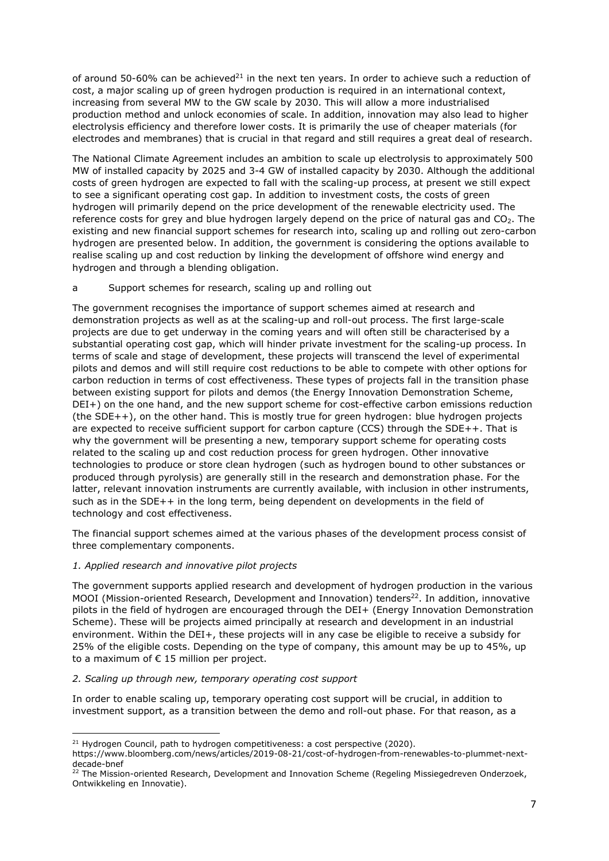of around 50-60% can be achieved<sup>21</sup> in the next ten years. In order to achieve such a reduction of cost, a major scaling up of green hydrogen production is required in an international context, increasing from several MW to the GW scale by 2030. This will allow a more industrialised production method and unlock economies of scale. In addition, innovation may also lead to higher electrolysis efficiency and therefore lower costs. It is primarily the use of cheaper materials (for electrodes and membranes) that is crucial in that regard and still requires a great deal of research.

The National Climate Agreement includes an ambition to scale up electrolysis to approximately 500 MW of installed capacity by 2025 and 3-4 GW of installed capacity by 2030. Although the additional costs of green hydrogen are expected to fall with the scaling-up process, at present we still expect to see a significant operating cost gap. In addition to investment costs, the costs of green hydrogen will primarily depend on the price development of the renewable electricity used. The reference costs for grey and blue hydrogen largely depend on the price of natural gas and CO<sub>2</sub>. The existing and new financial support schemes for research into, scaling up and rolling out zero-carbon hydrogen are presented below. In addition, the government is considering the options available to realise scaling up and cost reduction by linking the development of offshore wind energy and hydrogen and through a blending obligation.

## a Support schemes for research, scaling up and rolling out

The government recognises the importance of support schemes aimed at research and demonstration projects as well as at the scaling-up and roll-out process. The first large-scale projects are due to get underway in the coming years and will often still be characterised by a substantial operating cost gap, which will hinder private investment for the scaling-up process. In terms of scale and stage of development, these projects will transcend the level of experimental pilots and demos and will still require cost reductions to be able to compete with other options for carbon reduction in terms of cost effectiveness. These types of projects fall in the transition phase between existing support for pilots and demos (the Energy Innovation Demonstration Scheme, DEI+) on the one hand, and the new support scheme for cost-effective carbon emissions reduction (the SDE++), on the other hand. This is mostly true for green hydrogen: blue hydrogen projects are expected to receive sufficient support for carbon capture (CCS) through the SDE++. That is why the government will be presenting a new, temporary support scheme for operating costs related to the scaling up and cost reduction process for green hydrogen. Other innovative technologies to produce or store clean hydrogen (such as hydrogen bound to other substances or produced through pyrolysis) are generally still in the research and demonstration phase. For the latter, relevant innovation instruments are currently available, with inclusion in other instruments, such as in the SDE++ in the long term, being dependent on developments in the field of technology and cost effectiveness.

The financial support schemes aimed at the various phases of the development process consist of three complementary components.

#### 1. Applied research and innovative pilot projects

The government supports applied research and development of hydrogen production in the various MOOI (Mission-oriented Research, Development and Innovation) tenders<sup>22</sup>. In addition, innovative pilots in the field of hydrogen are encouraged through the DEI+ (Energy Innovation Demonstration Scheme). These will be projects aimed principally at research and development in an industrial environment. Within the DEI+, these projects will in any case be eligible to receive a subsidy for 25% of the eligible costs. Depending on the type of company, this amount may be up to 45%, up to a maximum of € 15 million per project.

#### 2. Scaling up through new, temporary operating cost support

In order to enable scaling up, temporary operating cost support will be crucial, in addition to investment support, as a transition between the demo and roll-out phase. For that reason, as a

 $21$  Hydrogen Council, path to hydrogen competitiveness: a cost perspective (2020).

https://www.bloomberg.com/news/articles/2019-08-21/cost-of-hydrogen-from-renewables-to-plummet-nextdecade-bnef

<sup>&</sup>lt;sup>22</sup> The Mission-oriented Research, Development and Innovation Scheme (Regeling Missiegedreven Onderzoek, Ontwikkeling en Innovatie).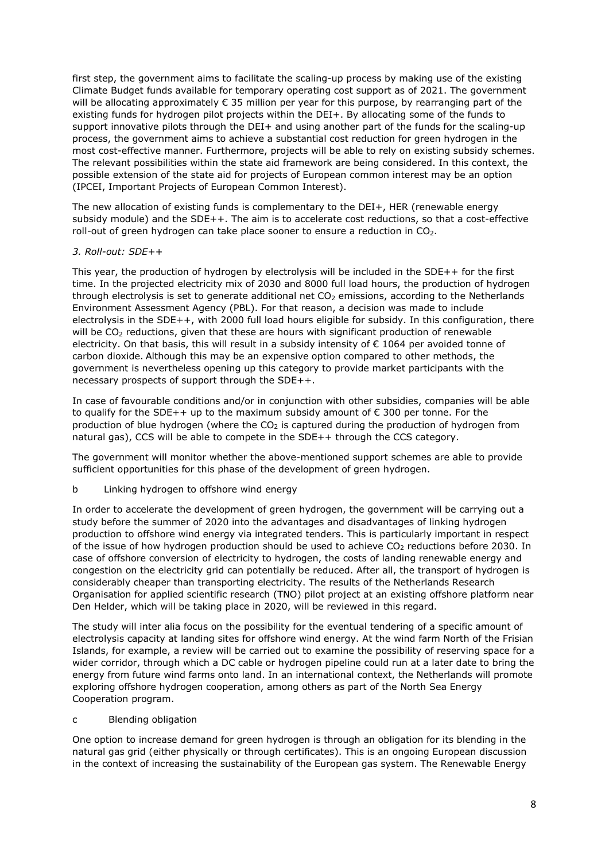first step, the government aims to facilitate the scaling-up process by making use of the existing Climate Budget funds available for temporary operating cost support as of 2021. The government will be allocating approximately € 35 million per year for this purpose, by rearranging part of the existing funds for hydrogen pilot projects within the DEI+. By allocating some of the funds to support innovative pilots through the DEI+ and using another part of the funds for the scaling-up process, the government aims to achieve a substantial cost reduction for green hydrogen in the most cost-effective manner. Furthermore, projects will be able to rely on existing subsidy schemes. The relevant possibilities within the state aid framework are being considered. In this context, the possible extension of the state aid for projects of European common interest may be an option (IPCEI, Important Projects of European Common Interest).

The new allocation of existing funds is complementary to the DEI+, HER (renewable energy subsidy module) and the SDE++. The aim is to accelerate cost reductions, so that a cost-effective roll-out of green hydrogen can take place sooner to ensure a reduction in  $CO<sub>2</sub>$ .

## 3. Roll-out: SDE++

This year, the production of hydrogen by electrolysis will be included in the SDE++ for the first time. In the projected electricity mix of 2030 and 8000 full load hours, the production of hydrogen through electrolysis is set to generate additional net  $CO<sub>2</sub>$  emissions, according to the Netherlands Environment Assessment Agency (PBL). For that reason, a decision was made to include electrolysis in the SDE++, with 2000 full load hours eligible for subsidy. In this configuration, there will be  $CO<sub>2</sub>$  reductions, given that these are hours with significant production of renewable electricity. On that basis, this will result in a subsidy intensity of € 1064 per avoided tonne of carbon dioxide. Although this may be an expensive option compared to other methods, the government is nevertheless opening up this category to provide market participants with the necessary prospects of support through the SDE++.

In case of favourable conditions and/or in conjunction with other subsidies, companies will be able to qualify for the SDE++ up to the maximum subsidy amount of  $\epsilon$  300 per tonne. For the production of blue hydrogen (where the  $CO<sub>2</sub>$  is captured during the production of hydrogen from natural gas), CCS will be able to compete in the SDE++ through the CCS category.

The government will monitor whether the above-mentioned support schemes are able to provide sufficient opportunities for this phase of the development of green hydrogen.

b Linking hydrogen to offshore wind energy

In order to accelerate the development of green hydrogen, the government will be carrying out a study before the summer of 2020 into the advantages and disadvantages of linking hydrogen production to offshore wind energy via integrated tenders. This is particularly important in respect of the issue of how hydrogen production should be used to achieve  $CO<sub>2</sub>$  reductions before 2030. In case of offshore conversion of electricity to hydrogen, the costs of landing renewable energy and congestion on the electricity grid can potentially be reduced. After all, the transport of hydrogen is considerably cheaper than transporting electricity. The results of the Netherlands Research Organisation for applied scientific research (TNO) pilot project at an existing offshore platform near Den Helder, which will be taking place in 2020, will be reviewed in this regard.

The study will inter alia focus on the possibility for the eventual tendering of a specific amount of electrolysis capacity at landing sites for offshore wind energy. At the wind farm North of the Frisian Islands, for example, a review will be carried out to examine the possibility of reserving space for a wider corridor, through which a DC cable or hydrogen pipeline could run at a later date to bring the energy from future wind farms onto land. In an international context, the Netherlands will promote exploring offshore hydrogen cooperation, among others as part of the North Sea Energy Cooperation program.

c Blending obligation

One option to increase demand for green hydrogen is through an obligation for its blending in the natural gas grid (either physically or through certificates). This is an ongoing European discussion in the context of increasing the sustainability of the European gas system. The Renewable Energy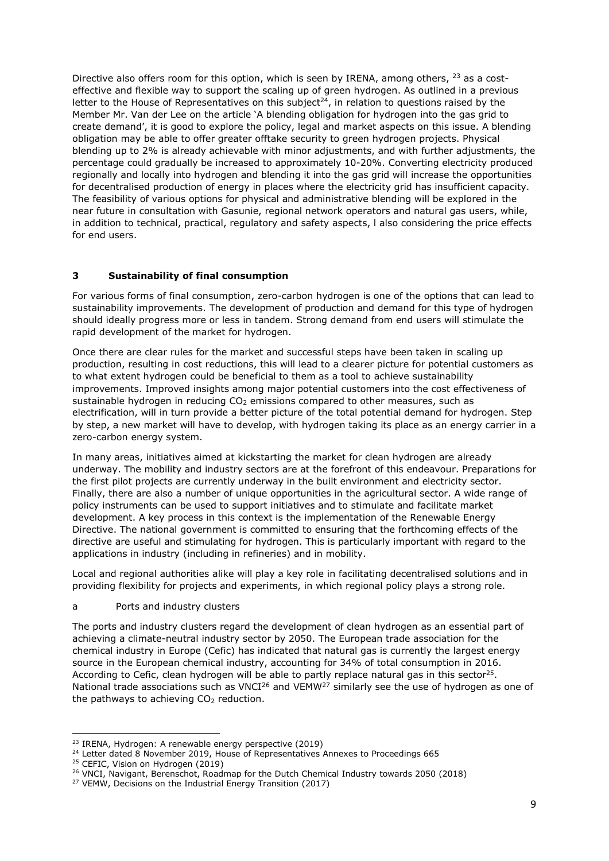Directive also offers room for this option, which is seen by IRENA, among others,  $^{23}$  as a costeffective and flexible way to support the scaling up of green hydrogen. As outlined in a previous letter to the House of Representatives on this subject<sup>24</sup>, in relation to questions raised by the Member Mr. Van der Lee on the article 'A blending obligation for hydrogen into the gas grid to create demand', it is good to explore the policy, legal and market aspects on this issue. A blending obligation may be able to offer greater offtake security to green hydrogen projects. Physical blending up to 2% is already achievable with minor adjustments, and with further adjustments, the percentage could gradually be increased to approximately 10-20%. Converting electricity produced regionally and locally into hydrogen and blending it into the gas grid will increase the opportunities for decentralised production of energy in places where the electricity grid has insufficient capacity. The feasibility of various options for physical and administrative blending will be explored in the near future in consultation with Gasunie, regional network operators and natural gas users, while, in addition to technical, practical, regulatory and safety aspects, l also considering the price effects for end users.

## 3 Sustainability of final consumption

For various forms of final consumption, zero-carbon hydrogen is one of the options that can lead to sustainability improvements. The development of production and demand for this type of hydrogen should ideally progress more or less in tandem. Strong demand from end users will stimulate the rapid development of the market for hydrogen.

Once there are clear rules for the market and successful steps have been taken in scaling up production, resulting in cost reductions, this will lead to a clearer picture for potential customers as to what extent hydrogen could be beneficial to them as a tool to achieve sustainability improvements. Improved insights among major potential customers into the cost effectiveness of sustainable hydrogen in reducing  $CO<sub>2</sub>$  emissions compared to other measures, such as electrification, will in turn provide a better picture of the total potential demand for hydrogen. Step by step, a new market will have to develop, with hydrogen taking its place as an energy carrier in a zero-carbon energy system.

In many areas, initiatives aimed at kickstarting the market for clean hydrogen are already underway. The mobility and industry sectors are at the forefront of this endeavour. Preparations for the first pilot projects are currently underway in the built environment and electricity sector. Finally, there are also a number of unique opportunities in the agricultural sector. A wide range of policy instruments can be used to support initiatives and to stimulate and facilitate market development. A key process in this context is the implementation of the Renewable Energy Directive. The national government is committed to ensuring that the forthcoming effects of the directive are useful and stimulating for hydrogen. This is particularly important with regard to the applications in industry (including in refineries) and in mobility.

Local and regional authorities alike will play a key role in facilitating decentralised solutions and in providing flexibility for projects and experiments, in which regional policy plays a strong role.

## a Ports and industry clusters

The ports and industry clusters regard the development of clean hydrogen as an essential part of achieving a climate-neutral industry sector by 2050. The European trade association for the chemical industry in Europe (Cefic) has indicated that natural gas is currently the largest energy source in the European chemical industry, accounting for 34% of total consumption in 2016. According to Cefic, clean hydrogen will be able to partly replace natural gas in this sector<sup>25</sup>. National trade associations such as VNCI $^{26}$  and VEMW<sup>27</sup> similarly see the use of hydrogen as one of the pathways to achieving  $CO<sub>2</sub>$  reduction.

<sup>&</sup>lt;sup>23</sup> IRENA, Hydrogen: A renewable energy perspective (2019)

<sup>&</sup>lt;sup>24</sup> Letter dated 8 November 2019, House of Representatives Annexes to Proceedings 665

<sup>&</sup>lt;sup>25</sup> CEFIC, Vision on Hydrogen (2019)

<sup>26</sup> VNCI, Navigant, Berenschot, Roadmap for the Dutch Chemical Industry towards 2050 (2018)

<sup>&</sup>lt;sup>27</sup> VEMW, Decisions on the Industrial Energy Transition (2017)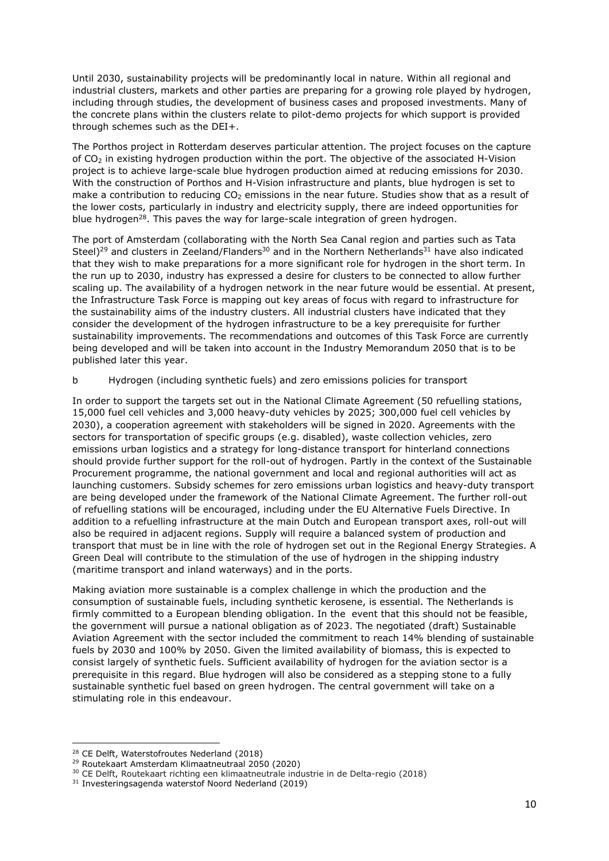Until 2030, sustainability projects will be predominantly local in nature. Within all regional and industrial clusters, markets and other parties are preparing for a growing role played by hydrogen, including through studies, the development of business cases and proposed investments. Many of the concrete plans within the clusters relate to pilot-demo projects for which support is provided through schemes such as the DEI+.

The Porthos project in Rotterdam deserves particular attention. The project focuses on the capture of  $CO<sub>2</sub>$  in existing hydrogen production within the port. The objective of the associated H-Vision project is to achieve large-scale blue hydrogen production aimed at reducing emissions for 2030. With the construction of Porthos and H-Vision infrastructure and plants, blue hydrogen is set to make a contribution to reducing  $CO<sub>2</sub>$  emissions in the near future. Studies show that as a result of the lower costs, particularly in industry and electricity supply, there are indeed opportunities for blue hydrogen<sup>28</sup>. This paves the way for large-scale integration of green hydrogen.

The port of Amsterdam (collaborating with the North Sea Canal region and parties such as Tata Steel)<sup>29</sup> and clusters in Zeeland/Flanders<sup>30</sup> and in the Northern Netherlands<sup>31</sup> have also indicated that they wish to make preparations for a more significant role for hydrogen in the short term. In the run up to 2030, industry has expressed a desire for clusters to be connected to allow further scaling up. The availability of a hydrogen network in the near future would be essential. At present, the Infrastructure Task Force is mapping out key areas of focus with regard to infrastructure for the sustainability aims of the industry clusters. All industrial clusters have indicated that they consider the development of the hydrogen infrastructure to be a key prerequisite for further sustainability improvements. The recommendations and outcomes of this Task Force are currently being developed and will be taken into account in the Industry Memorandum 2050 that is to be published later this year.

b Hydrogen (including synthetic fuels) and zero emissions policies for transport

In order to support the targets set out in the National Climate Agreement (50 refuelling stations, 15,000 fuel cell vehicles and 3,000 heavy-duty vehicles by 2025; 300,000 fuel cell vehicles by 2030), a cooperation agreement with stakeholders will be signed in 2020. Agreements with the sectors for transportation of specific groups (e.g. disabled), waste collection vehicles, zero emissions urban logistics and a strategy for long-distance transport for hinterland connections should provide further support for the roll-out of hydrogen. Partly in the context of the Sustainable Procurement programme, the national government and local and regional authorities will act as launching customers. Subsidy schemes for zero emissions urban logistics and heavy-duty transport are being developed under the framework of the National Climate Agreement. The further roll-out of refuelling stations will be encouraged, including under the EU Alternative Fuels Directive. In addition to a refuelling infrastructure at the main Dutch and European transport axes, roll-out will also be required in adjacent regions. Supply will require a balanced system of production and transport that must be in line with the role of hydrogen set out in the Regional Energy Strategies. A Green Deal will contribute to the stimulation of the use of hydrogen in the shipping industry (maritime transport and inland waterways) and in the ports.

Making aviation more sustainable is a complex challenge in which the production and the consumption of sustainable fuels, including synthetic kerosene, is essential. The Netherlands is firmly committed to a European blending obligation. In the event that this should not be feasible, the government will pursue a national obligation as of 2023. The negotiated (draft) Sustainable Aviation Agreement with the sector included the commitment to reach 14% blending of sustainable fuels by 2030 and 100% by 2050. Given the limited availability of biomass, this is expected to consist largely of synthetic fuels. Sufficient availability of hydrogen for the aviation sector is a prerequisite in this regard. Blue hydrogen will also be considered as a stepping stone to a fully sustainable synthetic fuel based on green hydrogen. The central government will take on a stimulating role in this endeavour.

<sup>28</sup> CE Delft, Waterstofroutes Nederland (2018)

<sup>29</sup> Routekaart Amsterdam Klimaatneutraal 2050 (2020)

<sup>30</sup> CE Delft, Routekaart richting een klimaatneutrale industrie in de Delta-regio (2018)

<sup>31</sup> Investeringsagenda waterstof Noord Nederland (2019)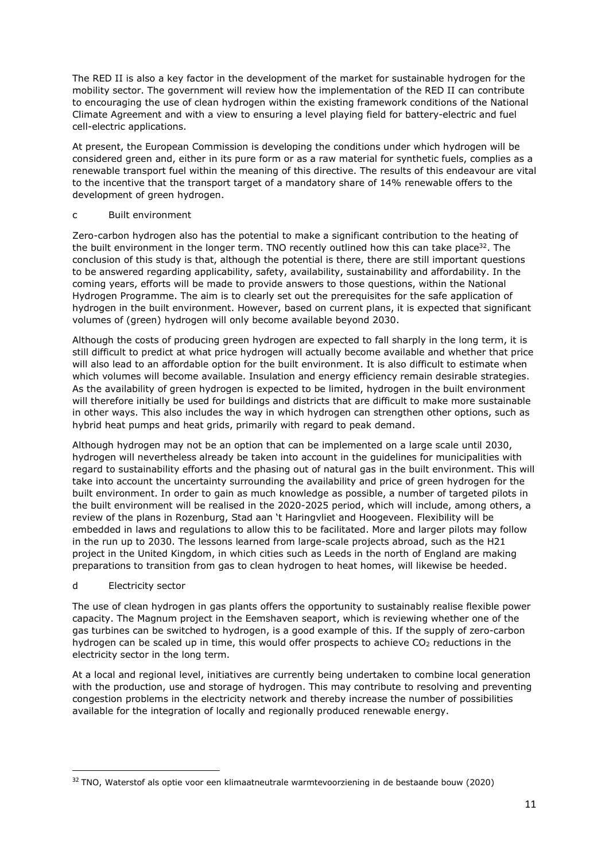The RED II is also a key factor in the development of the market for sustainable hydrogen for the mobility sector. The government will review how the implementation of the RED II can contribute to encouraging the use of clean hydrogen within the existing framework conditions of the National Climate Agreement and with a view to ensuring a level playing field for battery-electric and fuel cell-electric applications.

At present, the European Commission is developing the conditions under which hydrogen will be considered green and, either in its pure form or as a raw material for synthetic fuels, complies as a renewable transport fuel within the meaning of this directive. The results of this endeavour are vital to the incentive that the transport target of a mandatory share of 14% renewable offers to the development of green hydrogen.

#### c Built environment

Zero-carbon hydrogen also has the potential to make a significant contribution to the heating of the built environment in the longer term. TNO recently outlined how this can take place<sup>32</sup>. The conclusion of this study is that, although the potential is there, there are still important questions to be answered regarding applicability, safety, availability, sustainability and affordability. In the coming years, efforts will be made to provide answers to those questions, within the National Hydrogen Programme. The aim is to clearly set out the prerequisites for the safe application of hydrogen in the built environment. However, based on current plans, it is expected that significant volumes of (green) hydrogen will only become available beyond 2030.

Although the costs of producing green hydrogen are expected to fall sharply in the long term, it is still difficult to predict at what price hydrogen will actually become available and whether that price will also lead to an affordable option for the built environment. It is also difficult to estimate when which volumes will become available. Insulation and energy efficiency remain desirable strategies. As the availability of green hydrogen is expected to be limited, hydrogen in the built environment will therefore initially be used for buildings and districts that are difficult to make more sustainable in other ways. This also includes the way in which hydrogen can strengthen other options, such as hybrid heat pumps and heat grids, primarily with regard to peak demand.

Although hydrogen may not be an option that can be implemented on a large scale until 2030, hydrogen will nevertheless already be taken into account in the guidelines for municipalities with regard to sustainability efforts and the phasing out of natural gas in the built environment. This will take into account the uncertainty surrounding the availability and price of green hydrogen for the built environment. In order to gain as much knowledge as possible, a number of targeted pilots in the built environment will be realised in the 2020-2025 period, which will include, among others, a review of the plans in Rozenburg, Stad aan 't Haringvliet and Hoogeveen. Flexibility will be embedded in laws and regulations to allow this to be facilitated. More and larger pilots may follow in the run up to 2030. The lessons learned from large-scale projects abroad, such as the H21 project in the United Kingdom, in which cities such as Leeds in the north of England are making preparations to transition from gas to clean hydrogen to heat homes, will likewise be heeded.

## d Electricity sector

The use of clean hydrogen in gas plants offers the opportunity to sustainably realise flexible power capacity. The Magnum project in the Eemshaven seaport, which is reviewing whether one of the gas turbines can be switched to hydrogen, is a good example of this. If the supply of zero-carbon hydrogen can be scaled up in time, this would offer prospects to achieve  $CO<sub>2</sub>$  reductions in the electricity sector in the long term.

At a local and regional level, initiatives are currently being undertaken to combine local generation with the production, use and storage of hydrogen. This may contribute to resolving and preventing congestion problems in the electricity network and thereby increase the number of possibilities available for the integration of locally and regionally produced renewable energy.

<sup>&</sup>lt;sup>32</sup> TNO, Waterstof als optie voor een klimaatneutrale warmtevoorziening in de bestaande bouw (2020)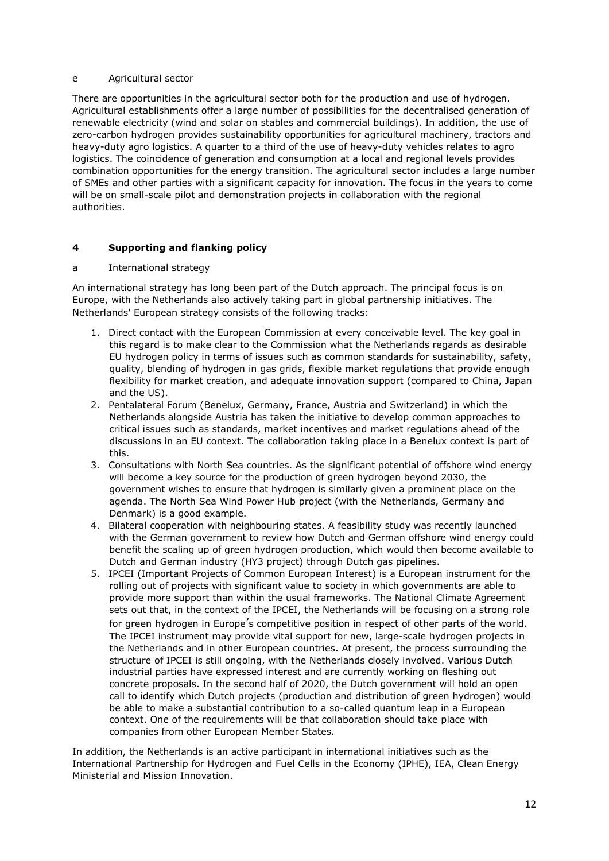## e Agricultural sector

There are opportunities in the agricultural sector both for the production and use of hydrogen. Agricultural establishments offer a large number of possibilities for the decentralised generation of renewable electricity (wind and solar on stables and commercial buildings). In addition, the use of zero-carbon hydrogen provides sustainability opportunities for agricultural machinery, tractors and heavy-duty agro logistics. A quarter to a third of the use of heavy-duty vehicles relates to agro logistics. The coincidence of generation and consumption at a local and regional levels provides combination opportunities for the energy transition. The agricultural sector includes a large number of SMEs and other parties with a significant capacity for innovation. The focus in the years to come will be on small-scale pilot and demonstration projects in collaboration with the regional authorities.

## 4 Supporting and flanking policy

## a International strategy

An international strategy has long been part of the Dutch approach. The principal focus is on Europe, with the Netherlands also actively taking part in global partnership initiatives. The Netherlands' European strategy consists of the following tracks:

- 1. Direct contact with the European Commission at every conceivable level. The key goal in this regard is to make clear to the Commission what the Netherlands regards as desirable EU hydrogen policy in terms of issues such as common standards for sustainability, safety, quality, blending of hydrogen in gas grids, flexible market regulations that provide enough flexibility for market creation, and adequate innovation support (compared to China, Japan and the US).
- 2. Pentalateral Forum (Benelux, Germany, France, Austria and Switzerland) in which the Netherlands alongside Austria has taken the initiative to develop common approaches to critical issues such as standards, market incentives and market regulations ahead of the discussions in an EU context. The collaboration taking place in a Benelux context is part of this.
- 3. Consultations with North Sea countries. As the significant potential of offshore wind energy will become a key source for the production of green hydrogen beyond 2030, the government wishes to ensure that hydrogen is similarly given a prominent place on the agenda. The North Sea Wind Power Hub project (with the Netherlands, Germany and Denmark) is a good example.
- 4. Bilateral cooperation with neighbouring states. A feasibility study was recently launched with the German government to review how Dutch and German offshore wind energy could benefit the scaling up of green hydrogen production, which would then become available to Dutch and German industry (HY3 project) through Dutch gas pipelines.
- 5. IPCEI (Important Projects of Common European Interest) is a European instrument for the rolling out of projects with significant value to society in which governments are able to provide more support than within the usual frameworks. The National Climate Agreement sets out that, in the context of the IPCEI, the Netherlands will be focusing on a strong role for green hydrogen in Europe's competitive position in respect of other parts of the world. The IPCEI instrument may provide vital support for new, large-scale hydrogen projects in the Netherlands and in other European countries. At present, the process surrounding the structure of IPCEI is still ongoing, with the Netherlands closely involved. Various Dutch industrial parties have expressed interest and are currently working on fleshing out concrete proposals. In the second half of 2020, the Dutch government will hold an open call to identify which Dutch projects (production and distribution of green hydrogen) would be able to make a substantial contribution to a so-called quantum leap in a European context. One of the requirements will be that collaboration should take place with companies from other European Member States.

In addition, the Netherlands is an active participant in international initiatives such as the International Partnership for Hydrogen and Fuel Cells in the Economy (IPHE), IEA, Clean Energy Ministerial and Mission Innovation.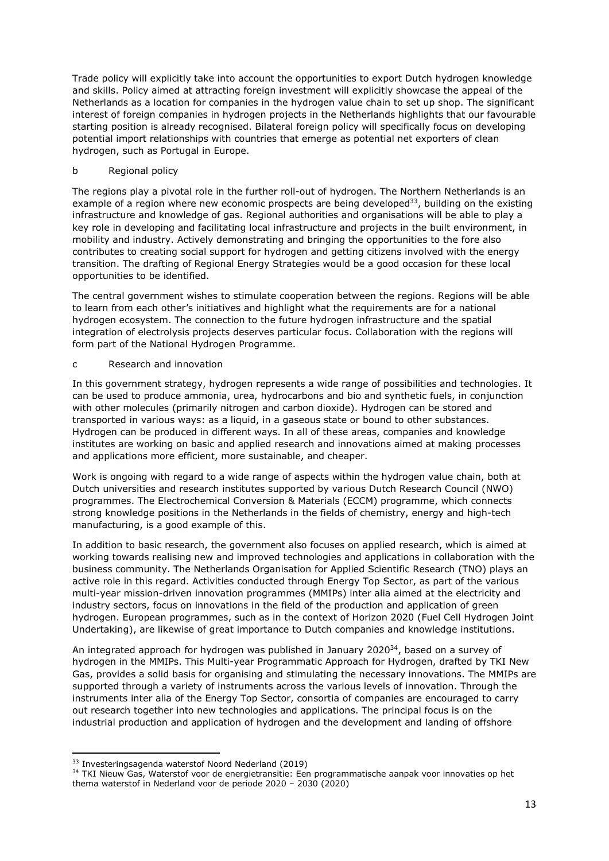Trade policy will explicitly take into account the opportunities to export Dutch hydrogen knowledge and skills. Policy aimed at attracting foreign investment will explicitly showcase the appeal of the Netherlands as a location for companies in the hydrogen value chain to set up shop. The significant interest of foreign companies in hydrogen projects in the Netherlands highlights that our favourable starting position is already recognised. Bilateral foreign policy will specifically focus on developing potential import relationships with countries that emerge as potential net exporters of clean hydrogen, such as Portugal in Europe.

## b Regional policy

The regions play a pivotal role in the further roll-out of hydrogen. The Northern Netherlands is an example of a region where new economic prospects are being developed<sup>33</sup>, building on the existing infrastructure and knowledge of gas. Regional authorities and organisations will be able to play a key role in developing and facilitating local infrastructure and projects in the built environment, in mobility and industry. Actively demonstrating and bringing the opportunities to the fore also contributes to creating social support for hydrogen and getting citizens involved with the energy transition. The drafting of Regional Energy Strategies would be a good occasion for these local opportunities to be identified.

The central government wishes to stimulate cooperation between the regions. Regions will be able to learn from each other's initiatives and highlight what the requirements are for a national hydrogen ecosystem. The connection to the future hydrogen infrastructure and the spatial integration of electrolysis projects deserves particular focus. Collaboration with the regions will form part of the National Hydrogen Programme.

## c Research and innovation

In this government strategy, hydrogen represents a wide range of possibilities and technologies. It can be used to produce ammonia, urea, hydrocarbons and bio and synthetic fuels, in conjunction with other molecules (primarily nitrogen and carbon dioxide). Hydrogen can be stored and transported in various ways: as a liquid, in a gaseous state or bound to other substances. Hydrogen can be produced in different ways. In all of these areas, companies and knowledge institutes are working on basic and applied research and innovations aimed at making processes and applications more efficient, more sustainable, and cheaper.

Work is ongoing with regard to a wide range of aspects within the hydrogen value chain, both at Dutch universities and research institutes supported by various Dutch Research Council (NWO) programmes. The Electrochemical Conversion & Materials (ECCM) programme, which connects strong knowledge positions in the Netherlands in the fields of chemistry, energy and high-tech manufacturing, is a good example of this.

In addition to basic research, the government also focuses on applied research, which is aimed at working towards realising new and improved technologies and applications in collaboration with the business community. The Netherlands Organisation for Applied Scientific Research (TNO) plays an active role in this regard. Activities conducted through Energy Top Sector, as part of the various multi-year mission-driven innovation programmes (MMIPs) inter alia aimed at the electricity and industry sectors, focus on innovations in the field of the production and application of green hydrogen. European programmes, such as in the context of Horizon 2020 (Fuel Cell Hydrogen Joint Undertaking), are likewise of great importance to Dutch companies and knowledge institutions.

An integrated approach for hydrogen was published in January 2020<sup>34</sup>, based on a survey of hydrogen in the MMIPs. This Multi-year Programmatic Approach for Hydrogen, drafted by TKI New Gas, provides a solid basis for organising and stimulating the necessary innovations. The MMIPs are supported through a variety of instruments across the various levels of innovation. Through the instruments inter alia of the Energy Top Sector, consortia of companies are encouraged to carry out research together into new technologies and applications. The principal focus is on the industrial production and application of hydrogen and the development and landing of offshore

<sup>33</sup> Investeringsagenda waterstof Noord Nederland (2019)

<sup>34</sup> TKI Nieuw Gas, Waterstof voor de energietransitie: Een programmatische aanpak voor innovaties op het thema waterstof in Nederland voor de periode 2020 – 2030 (2020)